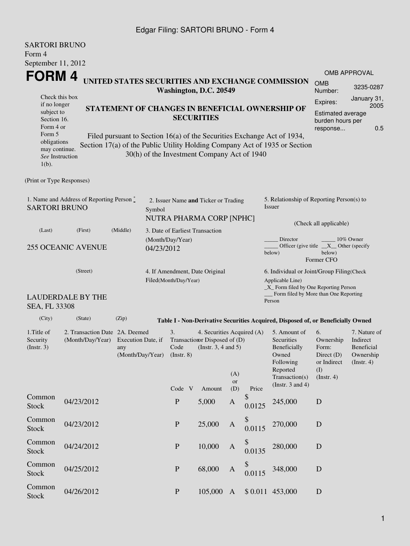## Edgar Filing: SARTORI BRUNO - Form 4

| <b>SARTORI BRUNO</b><br>Form 4                                                  |                                                                                                     |                                                                                                                                                 |        |                                                                                                                                             |  |                                             |              |                       |                                                                                                                         |                                                                             |                                                                           |  |
|---------------------------------------------------------------------------------|-----------------------------------------------------------------------------------------------------|-------------------------------------------------------------------------------------------------------------------------------------------------|--------|---------------------------------------------------------------------------------------------------------------------------------------------|--|---------------------------------------------|--------------|-----------------------|-------------------------------------------------------------------------------------------------------------------------|-----------------------------------------------------------------------------|---------------------------------------------------------------------------|--|
| September 11, 2012                                                              |                                                                                                     |                                                                                                                                                 |        |                                                                                                                                             |  |                                             |              |                       |                                                                                                                         |                                                                             | <b>OMB APPROVAL</b>                                                       |  |
| FORM 4                                                                          |                                                                                                     |                                                                                                                                                 |        |                                                                                                                                             |  |                                             |              |                       | UNITED STATES SECURITIES AND EXCHANGE COMMISSION                                                                        | <b>OMB</b>                                                                  | 3235-0287                                                                 |  |
| Check this box                                                                  |                                                                                                     |                                                                                                                                                 |        |                                                                                                                                             |  | Washington, D.C. 20549                      |              |                       |                                                                                                                         | Number:<br>Expires:                                                         | January 31,                                                               |  |
| if no longer<br>subject to<br>Section 16.<br>Form 4 or<br>Form 5<br>obligations |                                                                                                     | STATEMENT OF CHANGES IN BENEFICIAL OWNERSHIP OF<br><b>SECURITIES</b><br>Filed pursuant to Section 16(a) of the Securities Exchange Act of 1934, |        |                                                                                                                                             |  |                                             |              |                       |                                                                                                                         |                                                                             | 2005<br>Estimated average<br>burden hours per<br>0.5                      |  |
| may continue.<br>See Instruction<br>$1(b)$ .                                    |                                                                                                     |                                                                                                                                                 |        |                                                                                                                                             |  | 30(h) of the Investment Company Act of 1940 |              |                       | Section 17(a) of the Public Utility Holding Company Act of 1935 or Section                                              |                                                                             |                                                                           |  |
| (Print or Type Responses)                                                       |                                                                                                     |                                                                                                                                                 |        |                                                                                                                                             |  |                                             |              |                       |                                                                                                                         |                                                                             |                                                                           |  |
| <b>SARTORI BRUNO</b>                                                            | 1. Name and Address of Reporting Person *                                                           |                                                                                                                                                 | Symbol |                                                                                                                                             |  | 2. Issuer Name and Ticker or Trading        |              |                       | 5. Relationship of Reporting Person(s) to<br>Issuer                                                                     |                                                                             |                                                                           |  |
| (First)<br>(Middle)<br>(Last)                                                   |                                                                                                     |                                                                                                                                                 |        | NUTRA PHARMA CORP [NPHC]<br>3. Date of Earliest Transaction                                                                                 |  |                                             |              |                       | (Check all applicable)                                                                                                  |                                                                             |                                                                           |  |
| <b>255 OCEANIC AVENUE</b>                                                       |                                                                                                     |                                                                                                                                                 |        | (Month/Day/Year)<br>04/23/2012                                                                                                              |  |                                             |              |                       | Director<br>10% Owner<br>Officer (give title $X$ Other (specify<br>below)<br>below)<br>Former CFO                       |                                                                             |                                                                           |  |
| (Street)                                                                        |                                                                                                     |                                                                                                                                                 |        | 4. If Amendment, Date Original<br>Filed(Month/Day/Year)                                                                                     |  |                                             |              |                       | 6. Individual or Joint/Group Filing(Check<br>Applicable Line)<br>_X_ Form filed by One Reporting Person                 |                                                                             |                                                                           |  |
| SEA, FL 33308                                                                   | <b>LAUDERDALE BY THE</b>                                                                            |                                                                                                                                                 |        |                                                                                                                                             |  |                                             |              |                       | Form filed by More than One Reporting<br>Person                                                                         |                                                                             |                                                                           |  |
| (City)                                                                          | (State)                                                                                             | (Zip)                                                                                                                                           |        |                                                                                                                                             |  |                                             |              |                       | Table I - Non-Derivative Securities Acquired, Disposed of, or Beneficially Owned                                        |                                                                             |                                                                           |  |
| 1.Title of<br>Security<br>(Insert. 3)                                           | 2. Transaction Date 2A. Deemed<br>(Month/Day/Year)<br>Execution Date, if<br>any<br>(Month/Day/Year) |                                                                                                                                                 |        | 3.<br>4. Securities Acquired (A)<br>Transaction Disposed of (D)<br>Code<br>(Instr. $3, 4$ and $5$ )<br>$($ Instr. 8 $)$<br>(A)<br><b>or</b> |  |                                             |              |                       | 5. Amount of<br>Securities<br>Beneficially<br>Owned<br>Following<br>Reported<br>Transaction(s)<br>(Instr. $3$ and $4$ ) | 6.<br>Ownership<br>Form:<br>Direct (D)<br>or Indirect<br>(I)<br>(Insert. 4) | 7. Nature of<br>Indirect<br><b>Beneficial</b><br>Ownership<br>(Insert. 4) |  |
| Common<br><b>Stock</b>                                                          | 04/23/2012                                                                                          |                                                                                                                                                 |        | Code V<br>$\mathbf{P}$                                                                                                                      |  | Amount<br>5,000                             | (D)<br>A     | Price<br>\$<br>0.0125 | 245,000                                                                                                                 | D                                                                           |                                                                           |  |
| Common<br><b>Stock</b>                                                          | 04/23/2012                                                                                          |                                                                                                                                                 |        | $\mathbf{P}$                                                                                                                                |  | 25,000                                      | $\mathbf{A}$ | \$<br>0.0115          | 270,000                                                                                                                 | $\mathbf D$                                                                 |                                                                           |  |
| Common<br>Stock                                                                 | 04/24/2012                                                                                          |                                                                                                                                                 |        | $\, {\bf P}$                                                                                                                                |  | 10,000                                      | A            | \$<br>0.0135          | 280,000                                                                                                                 | $\mathbf D$                                                                 |                                                                           |  |
| Common<br><b>Stock</b>                                                          | 04/25/2012                                                                                          |                                                                                                                                                 |        | $\mathbf{P}$                                                                                                                                |  | 68,000                                      | A            | \$<br>0.0115          | 348,000                                                                                                                 | $\mathbf D$                                                                 |                                                                           |  |
| Common<br><b>Stock</b>                                                          | 04/26/2012                                                                                          |                                                                                                                                                 |        | $\mathbf P$                                                                                                                                 |  | 105,000                                     | $\mathbf{A}$ |                       | \$ 0.011 453,000                                                                                                        | $\mathbf D$                                                                 |                                                                           |  |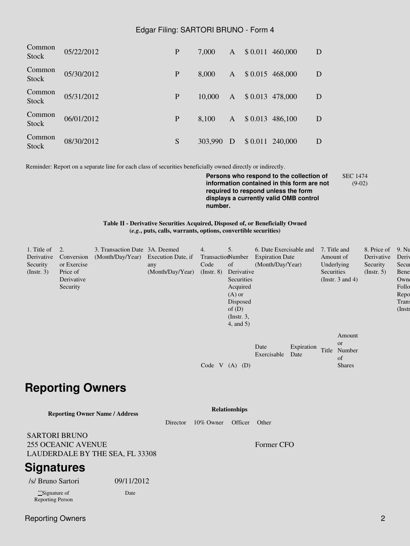## Edgar Filing: SARTORI BRUNO - Form 4

| Common<br><b>Stock</b> | 05/22/2012 | P | 7,000   | $\mathbf{A}$ | $$0.011$ 460,000 | D |
|------------------------|------------|---|---------|--------------|------------------|---|
| Common<br>Stock        | 05/30/2012 | P | 8,000   | $\mathbf{A}$ | $$0.015$ 468,000 | D |
| Common<br>Stock        | 05/31/2012 | P | 10,000  | $\mathbf{A}$ | \$0.013 478,000  | D |
| Common<br>Stock        | 06/01/2012 | P | 8,100   | $\mathbf{A}$ | $$0.013$ 486,100 | D |
| Common<br><b>Stock</b> | 08/30/2012 | S | 303,990 | D            | \$ 0.011 240,000 | D |

Reminder: Report on a separate line for each class of securities beneficially owned directly or indirectly.

**Persons who respond to the collection of information contained in this form are not required to respond unless the form displays a currently valid OMB control number.** SEC 1474 (9-02)

**Table II - Derivative Securities Acquired, Disposed of, or Beneficially Owned (***e.g.***, puts, calls, warrants, options, convertible securities)**

| 1. Title of      | $\overline{2}$ . | 3. Transaction Date 3A. Deemed      |                  | 4.                | 5.            | 6. Date Exercisable and |            | 7. Title and                 | 8. Price of | 9. Nu     |
|------------------|------------------|-------------------------------------|------------------|-------------------|---------------|-------------------------|------------|------------------------------|-------------|-----------|
| Derivative       | Conversion       | (Month/Day/Year) Execution Date, if |                  | TransactionNumber |               | <b>Expiration Date</b>  |            | Amount of                    | Derivative  | Deriy     |
| Security         | or Exercise      |                                     | any              | Code              | of            | (Month/Day/Year)        |            | Underlying                   | Security    | Secur     |
| $($ Instr. 3 $)$ | Price of         |                                     | (Month/Day/Year) | $($ Instr. $8)$   | Derivative    |                         |            | Securities                   | (Insert. 5) | Bene      |
|                  | Derivative       |                                     |                  |                   | Securities    |                         |            | (Instr. $3$ and $4$ )        |             | Owne      |
|                  | Security         |                                     |                  |                   | Acquired      |                         |            |                              |             | Follo     |
|                  |                  |                                     |                  |                   | $(A)$ or      |                         |            |                              |             | Repo      |
|                  |                  |                                     |                  |                   | Disposed      |                         |            |                              |             | Trans     |
|                  |                  |                                     |                  |                   | of $(D)$      |                         |            |                              |             | $($ Instr |
|                  |                  |                                     |                  |                   | $($ Instr. 3, |                         |            |                              |             |           |
|                  |                  |                                     |                  |                   | 4, and 5)     |                         |            |                              |             |           |
|                  |                  |                                     |                  |                   |               |                         |            | Amount                       |             |           |
|                  |                  |                                     |                  |                   |               |                         |            |                              |             |           |
|                  |                  |                                     |                  |                   |               | Date                    | Expiration | <b>or</b><br>Title<br>Number |             |           |
|                  |                  |                                     |                  |                   |               | Exercisable             | Date       | of                           |             |           |
|                  |                  |                                     |                  |                   |               |                         |            |                              |             |           |
|                  |                  |                                     |                  | Code V            | (D)<br>(A)    |                         |            | <b>Shares</b>                |             |           |

## **Reporting Owners**

| <b>Reporting Owner Name / Address</b>                                                |            | <b>Relationships</b> |         |            |  |  |  |
|--------------------------------------------------------------------------------------|------------|----------------------|---------|------------|--|--|--|
|                                                                                      | Director   | $10\%$ Owner         | Officer | Other      |  |  |  |
| <b>SARTORI BRUNO</b><br><b>255 OCEANIC AVENUE</b><br>LAUDERDALE BY THE SEA, FL 33308 |            |                      |         | Former CFO |  |  |  |
| <b>Signatures</b>                                                                    |            |                      |         |            |  |  |  |
| /s/ Bruno Sartori                                                                    | 09/11/2012 |                      |         |            |  |  |  |
| **Signature of                                                                       | Date       |                      |         |            |  |  |  |

Reporting Person